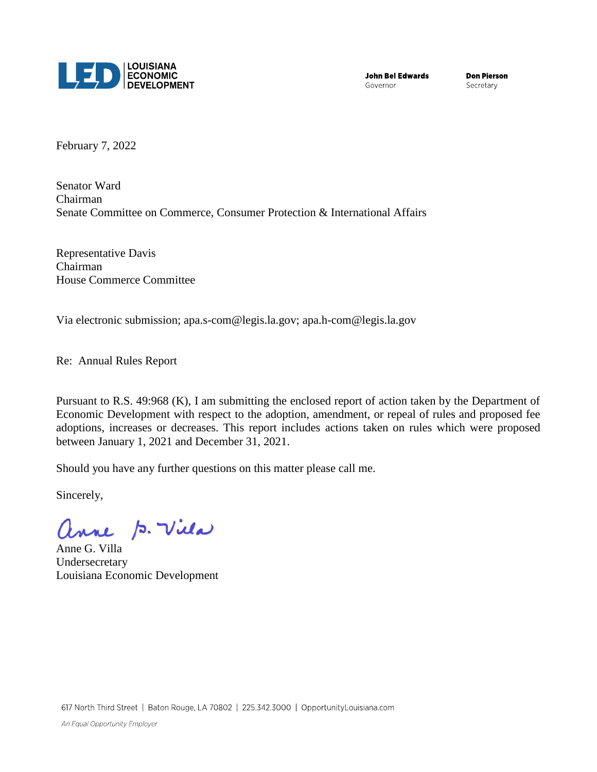

**John Bel Edwards** Governor

**Don Pierson** Secretary

February 7, 2022

Senator Ward Chairman Senate Committee on Commerce, Consumer Protection & International Affairs

Representative Davis Chairman House Commerce Committee

Via electronic submission; apa.s-com@legis.la.gov; [apa.h-com@legis.la.gov](mailto:apa.h-com@legis.la.gov)

Re: Annual Rules Report

Pursuant to R.S. 49:968 (K), I am submitting the enclosed report of action taken by the Department of Economic Development with respect to the adoption, amendment, or repeal of rules and proposed fee adoptions, increases or decreases. This report includes actions taken on rules which were proposed between January 1, 2021 and December 31, 2021.

Should you have any further questions on this matter please call me.

Sincerely,

anne p. Vila

Anne G. Villa Undersecretary Louisiana Economic Development